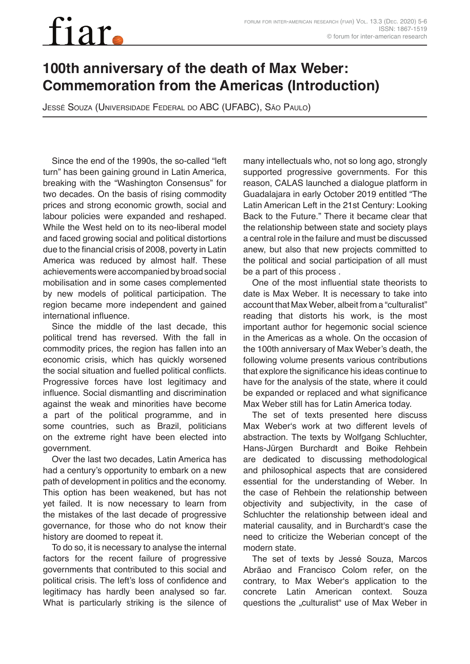## fiar

## **100th anniversary of the death of Max Weber: Commemoration from the Americas (Introduction)**

Jessé Souza (Universidade Federal do ABC (UFABC), São Paulo)

Since the end of the 1990s, the so-called "left turn" has been gaining ground in Latin America, breaking with the "Washington Consensus" for two decades. On the basis of rising commodity prices and strong economic growth, social and labour policies were expanded and reshaped. While the West held on to its neo-liberal model and faced growing social and political distortions due to the financial crisis of 2008, poverty in Latin America was reduced by almost half. These achievements were accompanied by broad social mobilisation and in some cases complemented by new models of political participation. The region became more independent and gained international influence.

Since the middle of the last decade, this political trend has reversed. With the fall in commodity prices, the region has fallen into an economic crisis, which has quickly worsened the social situation and fuelled political conflicts. Progressive forces have lost legitimacy and influence. Social dismantling and discrimination against the weak and minorities have become a part of the political programme, and in some countries, such as Brazil, politicians on the extreme right have been elected into government.

Over the last two decades, Latin America has had a century's opportunity to embark on a new path of development in politics and the economy. This option has been weakened, but has not yet failed. It is now necessary to learn from the mistakes of the last decade of progressive governance, for those who do not know their history are doomed to repeat it.

To do so, it is necessary to analyse the internal factors for the recent failure of progressive governments that contributed to this social and political crisis. The left's loss of confidence and legitimacy has hardly been analysed so far. What is particularly striking is the silence of many intellectuals who, not so long ago, strongly supported progressive governments. For this reason, CALAS launched a dialogue platform in Guadalajara in early October 2019 entitled "The Latin American Left in the 21st Century: Looking Back to the Future." There it became clear that the relationship between state and society plays a central role in the failure and must be discussed anew, but also that new projects committed to the political and social participation of all must be a part of this process .

One of the most influential state theorists to date is Max Weber. It is necessary to take into account that Max Weber, albeit from a "culturalist" reading that distorts his work, is the most important author for hegemonic social science in the Americas as a whole. On the occasion of the 100th anniversary of Max Weber's death, the following volume presents various contributions that explore the significance his ideas continue to have for the analysis of the state, where it could be expanded or replaced and what significance Max Weber still has for Latin America today.

The set of texts presented here discuss Max Weber's work at two different levels of abstraction. The texts by Wolfgang Schluchter, Hans-Jürgen Burchardt and Boike Rehbein are dedicated to discussing methodological and philosophical aspects that are considered essential for the understanding of Weber. In the case of Rehbein the relationship between objectivity and subjectivity, in the case of Schluchter the relationship between ideal and material causality, and in Burchardt's case the need to criticize the Weberian concept of the modern state.

The set of texts by Jessé Souza, Marcos Abrãao and Francisco Colom refer, on the contrary, to Max Weber's application to the concrete Latin American context. Souza questions the "culturalist" use of Max Weber in